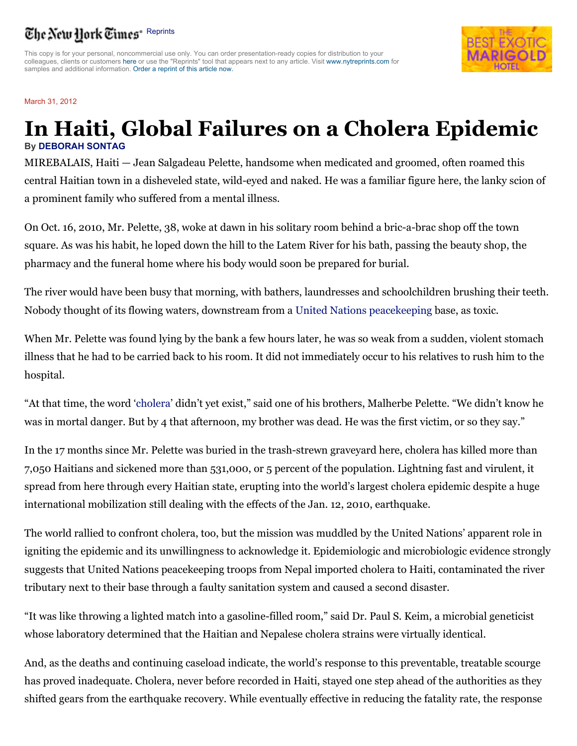This copy is for your personal, noncommercial use only. You can order presentation-ready copies for distribution to your colleagues, clients or customers here or use the "Reprints" tool that appears next to any article. Visit www.nytreprints.com for samples and additional information. Order a reprint of this article now.

March 31, 2012

# **In Haiti, Global Failures on a Cholera Epidemic By DEBORAH SONTAG**

MIREBALAIS, Haiti — Jean Salgadeau Pelette, handsome when medicated and groomed, often roamed this central Haitian town in a disheveled state, wild-eyed and naked. He was a familiar figure here, the lanky scion of a prominent family who suffered from a mental illness.

On Oct. 16, 2010, Mr. Pelette, 38, woke at dawn in his solitary room behind a bric-a-brac shop off the town square. As was his habit, he loped down the hill to the Latem River for his bath, passing the beauty shop, the pharmacy and the funeral home where his body would soon be prepared for burial.

The river would have been busy that morning, with bathers, laundresses and schoolchildren brushing their teeth. Nobody thought of its flowing waters, downstream from a United Nations peacekeeping base, as toxic.

When Mr. Pelette was found lying by the bank a few hours later, he was so weak from a sudden, violent stomach illness that he had to be carried back to his room. It did not immediately occur to his relatives to rush him to the hospital.

"At that time, the word 'cholera' didn't yet exist," said one of his brothers, Malherbe Pelette. "We didn't know he was in mortal danger. But by 4 that afternoon, my brother was dead. He was the first victim, or so they say."

In the 17 months since Mr. Pelette was buried in the trash-strewn graveyard here, cholera has killed more than 7,050 Haitians and sickened more than 531,000, or 5 percent of the population. Lightning fast and virulent, it spread from here through every Haitian state, erupting into the world's largest cholera epidemic despite a huge international mobilization still dealing with the effects of the Jan. 12, 2010, earthquake.

The world rallied to confront cholera, too, but the mission was muddled by the United Nations' apparent role in igniting the epidemic and its unwillingness to acknowledge it. Epidemiologic and microbiologic evidence strongly suggests that United Nations peacekeeping troops from Nepal imported cholera to Haiti, contaminated the river tributary next to their base through a faulty sanitation system and caused a second disaster.

"It was like throwing a lighted match into a gasoline-filled room," said Dr. Paul S. Keim, a microbial geneticist whose laboratory determined that the Haitian and Nepalese cholera strains were virtually identical.

And, as the deaths and continuing caseload indicate, the world's response to this preventable, treatable scourge has proved inadequate. Cholera, never before recorded in Haiti, stayed one step ahead of the authorities as they shifted gears from the earthquake recovery. While eventually effective in reducing the fatality rate, the response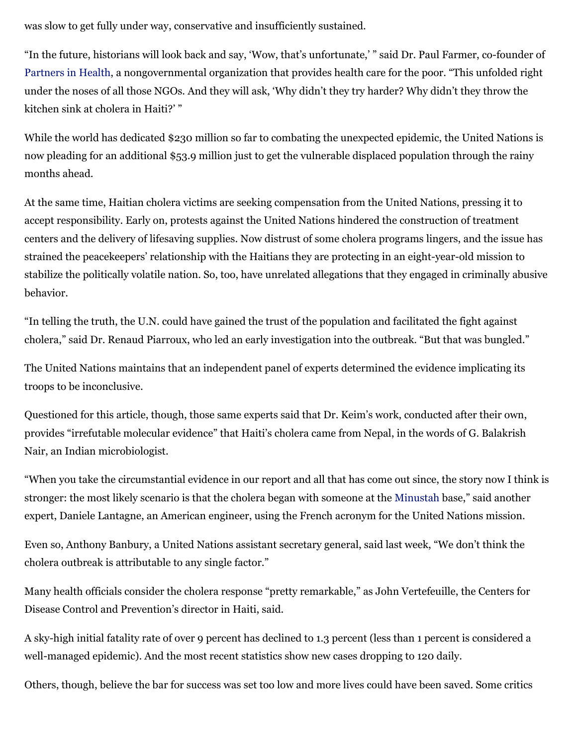was slow to get fully under way, conservative and insufficiently sustained.

"In the future, historians will look back and say, 'Wow, that's unfortunate,' " said Dr. Paul Farmer, co-founder of Partners in Health, a nongovernmental organization that provides health care for the poor. "This unfolded right under the noses of all those NGOs. And they will ask, 'Why didn't they try harder? Why didn't they throw the kitchen sink at cholera in Haiti?' "

While the world has dedicated \$230 million so far to combating the unexpected epidemic, the United Nations is now pleading for an additional \$53.9 million just to get the vulnerable displaced population through the rainy months ahead.

At the same time, Haitian cholera victims are seeking compensation from the United Nations, pressing it to accept responsibility. Early on, protests against the United Nations hindered the construction of treatment centers and the delivery of lifesaving supplies. Now distrust of some cholera programs lingers, and the issue has strained the peacekeepers' relationship with the Haitians they are protecting in an eight-year-old mission to stabilize the politically volatile nation. So, too, have unrelated allegations that they engaged in criminally abusive behavior.

"In telling the truth, the U.N. could have gained the trust of the population and facilitated the fight against cholera," said Dr. Renaud Piarroux, who led an early investigation into the outbreak. "But that was bungled."

The United Nations maintains that an independent panel of experts determined the evidence implicating its troops to be inconclusive.

Questioned for this article, though, those same experts said that Dr. Keim's work, conducted after their own, provides "irrefutable molecular evidence" that Haiti's cholera came from Nepal, in the words of G. Balakrish Nair, an Indian microbiologist.

"When you take the circumstantial evidence in our report and all that has come out since, the story now I think is stronger: the most likely scenario is that the cholera began with someone at the Minustah base," said another expert, Daniele Lantagne, an American engineer, using the French acronym for the United Nations mission.

Even so, Anthony Banbury, a United Nations assistant secretary general, said last week, "We don't think the cholera outbreak is attributable to any single factor."

Many health officials consider the cholera response "pretty remarkable," as John Vertefeuille, the Centers for Disease Control and Prevention's director in Haiti, said.

A sky-high initial fatality rate of over 9 percent has declined to 1.3 percent (less than 1 percent is considered a well-managed epidemic). And the most recent statistics show new cases dropping to 120 daily.

Others, though, believe the bar for success was set too low and more lives could have been saved. Some critics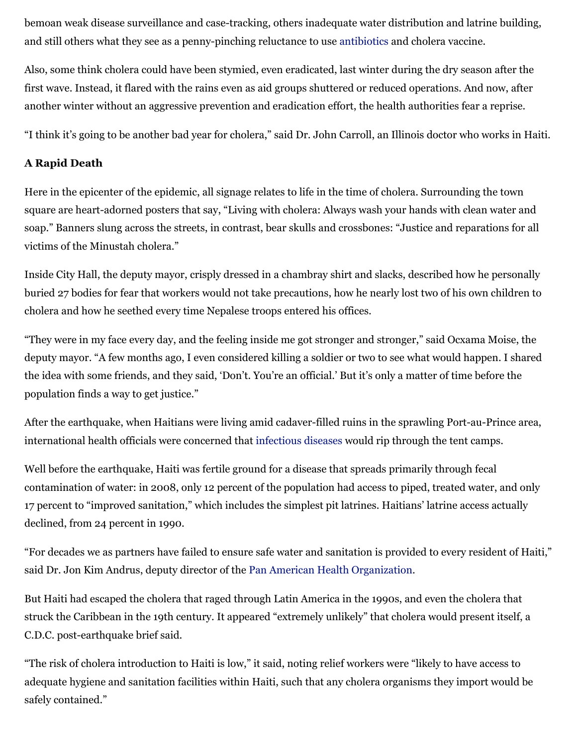bemoan weak disease surveillance and case-tracking, others inadequate water distribution and latrine building, and still others what they see as a penny-pinching reluctance to use antibiotics and cholera vaccine.

Also, some think cholera could have been stymied, even eradicated, last winter during the dry season after the first wave. Instead, it flared with the rains even as aid groups shuttered or reduced operations. And now, after another winter without an aggressive prevention and eradication effort, the health authorities fear a reprise.

"I think it's going to be another bad year for cholera," said Dr. John Carroll, an Illinois doctor who works in Haiti.

# **A Rapid Death**

Here in the epicenter of the epidemic, all signage relates to life in the time of cholera. Surrounding the town square are heart-adorned posters that say, "Living with cholera: Always wash your hands with clean water and soap." Banners slung across the streets, in contrast, bear skulls and crossbones: "Justice and reparations for all victims of the Minustah cholera."

Inside City Hall, the deputy mayor, crisply dressed in a chambray shirt and slacks, described how he personally buried 27 bodies for fear that workers would not take precautions, how he nearly lost two of his own children to cholera and how he seethed every time Nepalese troops entered his offices.

"They were in my face every day, and the feeling inside me got stronger and stronger," said Ocxama Moise, the deputy mayor. "A few months ago, I even considered killing a soldier or two to see what would happen. I shared the idea with some friends, and they said, 'Don't. You're an official.' But it's only a matter of time before the population finds a way to get justice."

After the earthquake, when Haitians were living amid cadaver-filled ruins in the sprawling Port-au-Prince area, international health officials were concerned that infectious diseases would rip through the tent camps.

Well before the earthquake, Haiti was fertile ground for a disease that spreads primarily through fecal contamination of water: in 2008, only 12 percent of the population had access to piped, treated water, and only 17 percent to "improved sanitation," which includes the simplest pit latrines. Haitians' latrine access actually declined, from 24 percent in 1990.

"For decades we as partners have failed to ensure safe water and sanitation is provided to every resident of Haiti," said Dr. Jon Kim Andrus, deputy director of the Pan American Health Organization.

But Haiti had escaped the cholera that raged through Latin America in the 1990s, and even the cholera that struck the Caribbean in the 19th century. It appeared "extremely unlikely" that cholera would present itself, a C.D.C. post-earthquake brief said.

"The risk of cholera introduction to Haiti is low," it said, noting relief workers were "likely to have access to adequate hygiene and sanitation facilities within Haiti, such that any cholera organisms they import would be safely contained."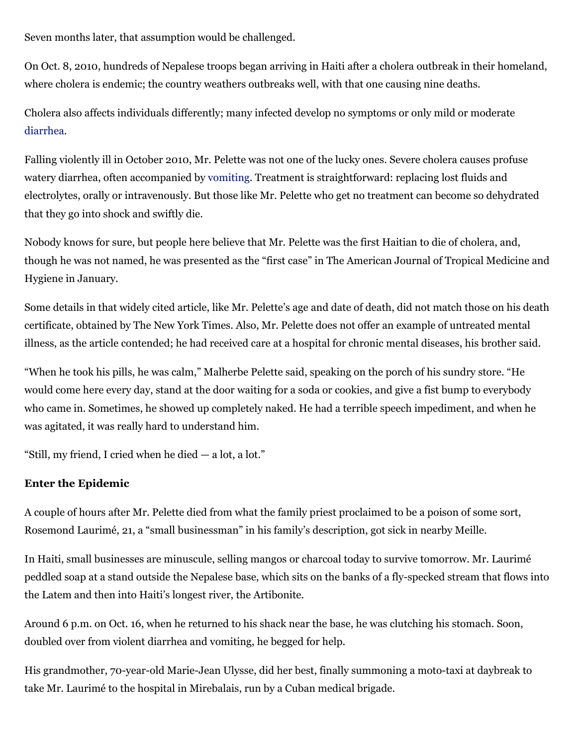Seven months later, that assumption would be challenged.

On Oct. 8, 2010, hundreds of Nepalese troops began arriving in Haiti after a cholera outbreak in their homeland, where cholera is endemic; the country weathers outbreaks well, with that one causing nine deaths.

Cholera also affects individuals differently; many infected develop no symptoms or only mild or moderate diarrhea.

Falling violently ill in October 2010, Mr. Pelette was not one of the lucky ones. Severe cholera causes profuse watery diarrhea, often accompanied by vomiting. Treatment is straightforward: replacing lost fluids and electrolytes, orally or intravenously. But those like Mr. Pelette who get no treatment can become so dehydrated that they go into shock and swiftly die.

Nobody knows for sure, but people here believe that Mr. Pelette was the first Haitian to die of cholera, and, though he was not named, he was presented as the "first case" in The American Journal of Tropical Medicine and Hygiene in January.

Some details in that widely cited article, like Mr. Pelette's age and date of death, did not match those on his death certificate, obtained by The New York Times. Also, Mr. Pelette does not offer an example of untreated mental illness, as the article contended; he had received care at a hospital for chronic mental diseases, his brother said.

"When he took his pills, he was calm," Malherbe Pelette said, speaking on the porch of his sundry store. "He would come here every day, stand at the door waiting for a soda or cookies, and give a fist bump to everybody who came in. Sometimes, he showed up completely naked. He had a terrible speech impediment, and when he was agitated, it was really hard to understand him.

"Still, my friend, I cried when he died — a lot, a lot."

# **Enter the Epidemic**

A couple of hours after Mr. Pelette died from what the family priest proclaimed to be a poison of some sort, Rosemond Laurimé, 21, a "small businessman" in his family's description, got sick in nearby Meille.

In Haiti, small businesses are minuscule, selling mangos or charcoal today to survive tomorrow. Mr. Laurimé peddled soap at a stand outside the Nepalese base, which sits on the banks of a fly-specked stream that flows into the Latem and then into Haiti's longest river, the Artibonite.

Around 6 p.m. on Oct. 16, when he returned to his shack near the base, he was clutching his stomach. Soon, doubled over from violent diarrhea and vomiting, he begged for help.

His grandmother, 70-year-old Marie-Jean Ulysse, did her best, finally summoning a moto-taxi at daybreak to take Mr. Laurimé to the hospital in Mirebalais, run by a Cuban medical brigade.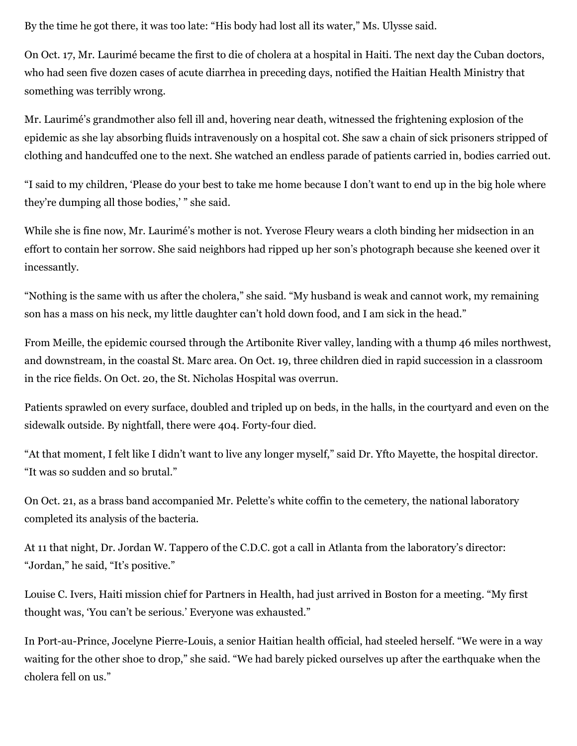By the time he got there, it was too late: "His body had lost all its water," Ms. Ulysse said.

On Oct. 17, Mr. Laurimé became the first to die of cholera at a hospital in Haiti. The next day the Cuban doctors, who had seen five dozen cases of acute diarrhea in preceding days, notified the Haitian Health Ministry that something was terribly wrong.

Mr. Laurimé's grandmother also fell ill and, hovering near death, witnessed the frightening explosion of the epidemic as she lay absorbing fluids intravenously on a hospital cot. She saw a chain of sick prisoners stripped of clothing and handcuffed one to the next. She watched an endless parade of patients carried in, bodies carried out.

"I said to my children, 'Please do your best to take me home because I don't want to end up in the big hole where they're dumping all those bodies,' " she said.

While she is fine now, Mr. Laurimé's mother is not. Yverose Fleury wears a cloth binding her midsection in an effort to contain her sorrow. She said neighbors had ripped up her son's photograph because she keened over it incessantly.

"Nothing is the same with us after the cholera," she said. "My husband is weak and cannot work, my remaining son has a mass on his neck, my little daughter can't hold down food, and I am sick in the head."

From Meille, the epidemic coursed through the Artibonite River valley, landing with a thump 46 miles northwest, and downstream, in the coastal St. Marc area. On Oct. 19, three children died in rapid succession in a classroom in the rice fields. On Oct. 20, the St. Nicholas Hospital was overrun.

Patients sprawled on every surface, doubled and tripled up on beds, in the halls, in the courtyard and even on the sidewalk outside. By nightfall, there were 404. Forty-four died.

"At that moment, I felt like I didn't want to live any longer myself," said Dr. Yfto Mayette, the hospital director. "It was so sudden and so brutal."

On Oct. 21, as a brass band accompanied Mr. Pelette's white coffin to the cemetery, the national laboratory completed its analysis of the bacteria.

At 11 that night, Dr. Jordan W. Tappero of the C.D.C. got a call in Atlanta from the laboratory's director: "Jordan," he said, "It's positive."

Louise C. Ivers, Haiti mission chief for Partners in Health, had just arrived in Boston for a meeting. "My first thought was, 'You can't be serious.' Everyone was exhausted."

In Port-au-Prince, Jocelyne Pierre-Louis, a senior Haitian health official, had steeled herself. "We were in a way waiting for the other shoe to drop," she said. "We had barely picked ourselves up after the earthquake when the cholera fell on us."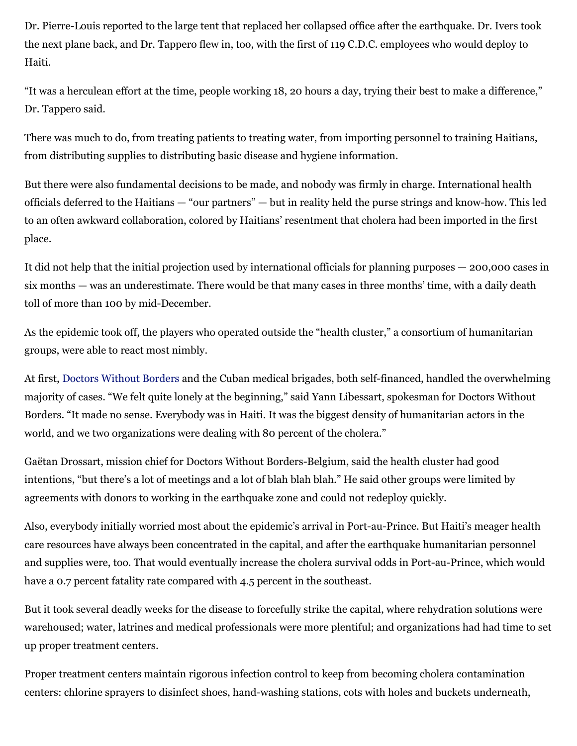Dr. Pierre-Louis reported to the large tent that replaced her collapsed office after the earthquake. Dr. Ivers took the next plane back, and Dr. Tappero flew in, too, with the first of 119 C.D.C. employees who would deploy to Haiti.

"It was a herculean effort at the time, people working 18, 20 hours a day, trying their best to make a difference," Dr. Tappero said.

There was much to do, from treating patients to treating water, from importing personnel to training Haitians, from distributing supplies to distributing basic disease and hygiene information.

But there were also fundamental decisions to be made, and nobody was firmly in charge. International health officials deferred to the Haitians — "our partners" — but in reality held the purse strings and know-how. This led to an often awkward collaboration, colored by Haitians' resentment that cholera had been imported in the first place.

It did not help that the initial projection used by international officials for planning purposes — 200,000 cases in six months — was an underestimate. There would be that many cases in three months' time, with a daily death toll of more than 100 by mid-December.

As the epidemic took off, the players who operated outside the "health cluster," a consortium of humanitarian groups, were able to react most nimbly.

At first, Doctors Without Borders and the Cuban medical brigades, both self-financed, handled the overwhelming majority of cases. "We felt quite lonely at the beginning," said Yann Libessart, spokesman for Doctors Without Borders. "It made no sense. Everybody was in Haiti. It was the biggest density of humanitarian actors in the world, and we two organizations were dealing with 80 percent of the cholera."

Gaëtan Drossart, mission chief for Doctors Without Borders-Belgium, said the health cluster had good intentions, "but there's a lot of meetings and a lot of blah blah blah." He said other groups were limited by agreements with donors to working in the earthquake zone and could not redeploy quickly.

Also, everybody initially worried most about the epidemic's arrival in Port-au-Prince. But Haiti's meager health care resources have always been concentrated in the capital, and after the earthquake humanitarian personnel and supplies were, too. That would eventually increase the cholera survival odds in Port-au-Prince, which would have a 0.7 percent fatality rate compared with 4.5 percent in the southeast.

But it took several deadly weeks for the disease to forcefully strike the capital, where rehydration solutions were warehoused; water, latrines and medical professionals were more plentiful; and organizations had had time to set up proper treatment centers.

Proper treatment centers maintain rigorous infection control to keep from becoming cholera contamination centers: chlorine sprayers to disinfect shoes, hand-washing stations, cots with holes and buckets underneath,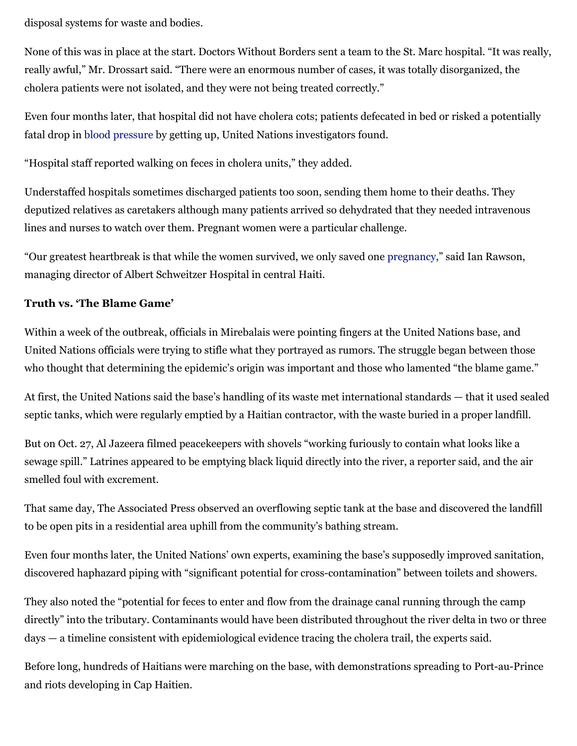disposal systems for waste and bodies.

None of this was in place at the start. Doctors Without Borders sent a team to the St. Marc hospital. "It was really, really awful," Mr. Drossart said. "There were an enormous number of cases, it was totally disorganized, the cholera patients were not isolated, and they were not being treated correctly."

Even four months later, that hospital did not have cholera cots; patients defecated in bed or risked a potentially fatal drop in blood pressure by getting up, United Nations investigators found.

"Hospital staff reported walking on feces in cholera units," they added.

Understaffed hospitals sometimes discharged patients too soon, sending them home to their deaths. They deputized relatives as caretakers although many patients arrived so dehydrated that they needed intravenous lines and nurses to watch over them. Pregnant women were a particular challenge.

"Our greatest heartbreak is that while the women survived, we only saved one pregnancy," said Ian Rawson, managing director of Albert Schweitzer Hospital in central Haiti.

### **Truth vs. 'The Blame Game'**

Within a week of the outbreak, officials in Mirebalais were pointing fingers at the United Nations base, and United Nations officials were trying to stifle what they portrayed as rumors. The struggle began between those who thought that determining the epidemic's origin was important and those who lamented "the blame game."

At first, the United Nations said the base's handling of its waste met international standards — that it used sealed septic tanks, which were regularly emptied by a Haitian contractor, with the waste buried in a proper landfill.

But on Oct. 27, Al Jazeera filmed peacekeepers with shovels "working furiously to contain what looks like a sewage spill." Latrines appeared to be emptying black liquid directly into the river, a reporter said, and the air smelled foul with excrement.

That same day, The Associated Press observed an overflowing septic tank at the base and discovered the landfill to be open pits in a residential area uphill from the community's bathing stream.

Even four months later, the United Nations' own experts, examining the base's supposedly improved sanitation, discovered haphazard piping with "significant potential for cross-contamination" between toilets and showers.

They also noted the "potential for feces to enter and flow from the drainage canal running through the camp directly" into the tributary. Contaminants would have been distributed throughout the river delta in two or three days — a timeline consistent with epidemiological evidence tracing the cholera trail, the experts said.

Before long, hundreds of Haitians were marching on the base, with demonstrations spreading to Port-au-Prince and riots developing in Cap Haitien.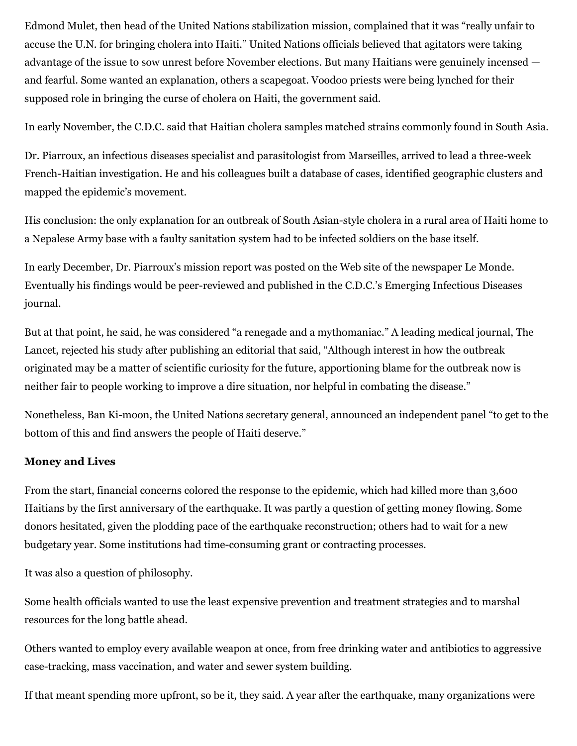Edmond Mulet, then head of the United Nations stabilization mission, complained that it was "really unfair to accuse the U.N. for bringing cholera into Haiti." United Nations officials believed that agitators were taking advantage of the issue to sow unrest before November elections. But many Haitians were genuinely incensed and fearful. Some wanted an explanation, others a scapegoat. Voodoo priests were being lynched for their supposed role in bringing the curse of cholera on Haiti, the government said.

In early November, the C.D.C. said that Haitian cholera samples matched strains commonly found in South Asia.

Dr. Piarroux, an infectious diseases specialist and parasitologist from Marseilles, arrived to lead a three-week French-Haitian investigation. He and his colleagues built a database of cases, identified geographic clusters and mapped the epidemic's movement.

His conclusion: the only explanation for an outbreak of South Asian-style cholera in a rural area of Haiti home to a Nepalese Army base with a faulty sanitation system had to be infected soldiers on the base itself.

In early December, Dr. Piarroux's mission report was posted on the Web site of the newspaper Le Monde. Eventually his findings would be peer-reviewed and published in the C.D.C.'s Emerging Infectious Diseases journal.

But at that point, he said, he was considered "a renegade and a mythomaniac." A leading medical journal, The Lancet, rejected his study after publishing an editorial that said, "Although interest in how the outbreak originated may be a matter of scientific curiosity for the future, apportioning blame for the outbreak now is neither fair to people working to improve a dire situation, nor helpful in combating the disease."

Nonetheless, Ban Ki-moon, the United Nations secretary general, announced an independent panel "to get to the bottom of this and find answers the people of Haiti deserve."

#### **Money and Lives**

From the start, financial concerns colored the response to the epidemic, which had killed more than 3,600 Haitians by the first anniversary of the earthquake. It was partly a question of getting money flowing. Some donors hesitated, given the plodding pace of the earthquake reconstruction; others had to wait for a new budgetary year. Some institutions had time-consuming grant or contracting processes.

It was also a question of philosophy.

Some health officials wanted to use the least expensive prevention and treatment strategies and to marshal resources for the long battle ahead.

Others wanted to employ every available weapon at once, from free drinking water and antibiotics to aggressive case-tracking, mass vaccination, and water and sewer system building.

If that meant spending more upfront, so be it, they said. A year after the earthquake, many organizations were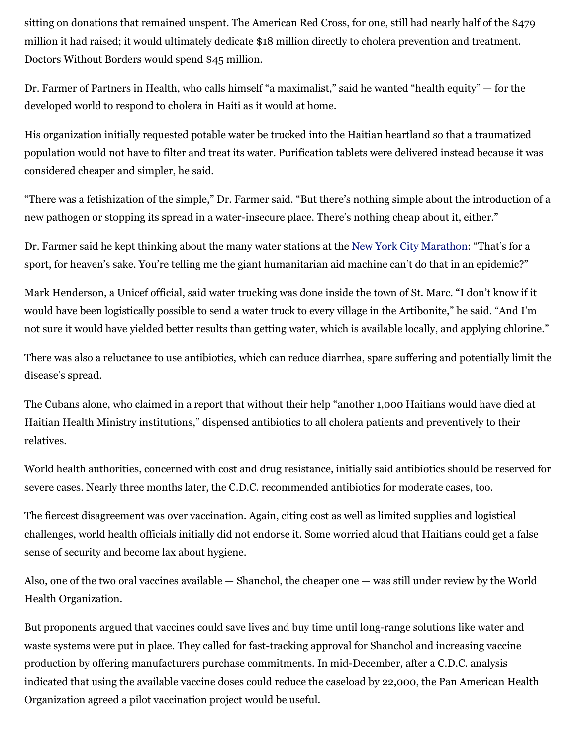sitting on donations that remained unspent. The American Red Cross, for one, still had nearly half of the \$479 million it had raised; it would ultimately dedicate \$18 million directly to cholera prevention and treatment. Doctors Without Borders would spend \$45 million.

Dr. Farmer of Partners in Health, who calls himself "a maximalist," said he wanted "health equity" — for the developed world to respond to cholera in Haiti as it would at home.

His organization initially requested potable water be trucked into the Haitian heartland so that a traumatized population would not have to filter and treat its water. Purification tablets were delivered instead because it was considered cheaper and simpler, he said.

"There was a fetishization of the simple," Dr. Farmer said. "But there's nothing simple about the introduction of a new pathogen or stopping its spread in a water-insecure place. There's nothing cheap about it, either."

Dr. Farmer said he kept thinking about the many water stations at the New York City Marathon: "That's for a sport, for heaven's sake. You're telling me the giant humanitarian aid machine can't do that in an epidemic?"

Mark Henderson, a Unicef official, said water trucking was done inside the town of St. Marc. "I don't know if it would have been logistically possible to send a water truck to every village in the Artibonite," he said. "And I'm not sure it would have yielded better results than getting water, which is available locally, and applying chlorine."

There was also a reluctance to use antibiotics, which can reduce diarrhea, spare suffering and potentially limit the disease's spread.

The Cubans alone, who claimed in a report that without their help "another 1,000 Haitians would have died at Haitian Health Ministry institutions," dispensed antibiotics to all cholera patients and preventively to their relatives.

World health authorities, concerned with cost and drug resistance, initially said antibiotics should be reserved for severe cases. Nearly three months later, the C.D.C. recommended antibiotics for moderate cases, too.

The fiercest disagreement was over vaccination. Again, citing cost as well as limited supplies and logistical challenges, world health officials initially did not endorse it. Some worried aloud that Haitians could get a false sense of security and become lax about hygiene.

Also, one of the two oral vaccines available — Shanchol, the cheaper one — was still under review by the World Health Organization.

But proponents argued that vaccines could save lives and buy time until long-range solutions like water and waste systems were put in place. They called for fast-tracking approval for Shanchol and increasing vaccine production by offering manufacturers purchase commitments. In mid-December, after a C.D.C. analysis indicated that using the available vaccine doses could reduce the caseload by 22,000, the Pan American Health Organization agreed a pilot vaccination project would be useful.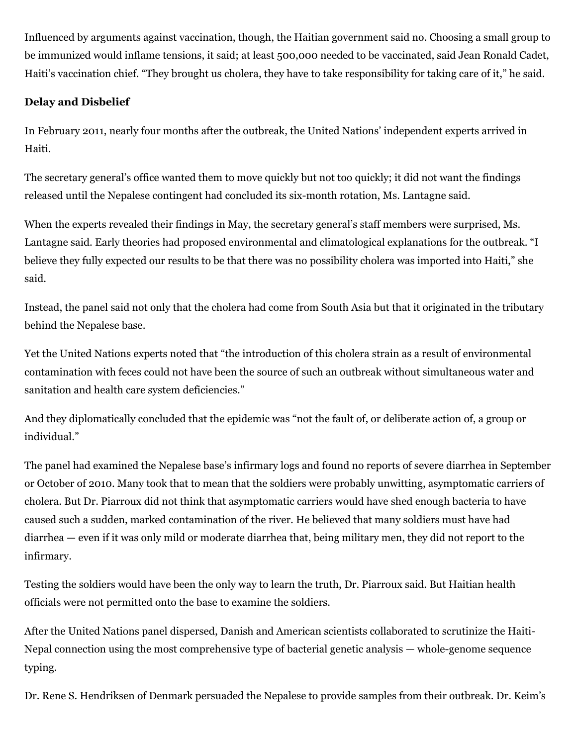Influenced by arguments against vaccination, though, the Haitian government said no. Choosing a small group to be immunized would inflame tensions, it said; at least 500,000 needed to be vaccinated, said Jean Ronald Cadet, Haiti's vaccination chief. "They brought us cholera, they have to take responsibility for taking care of it," he said.

# **Delay and Disbelief**

In February 2011, nearly four months after the outbreak, the United Nations' independent experts arrived in Haiti.

The secretary general's office wanted them to move quickly but not too quickly; it did not want the findings released until the Nepalese contingent had concluded its six-month rotation, Ms. Lantagne said.

When the experts revealed their findings in May, the secretary general's staff members were surprised, Ms. Lantagne said. Early theories had proposed environmental and climatological explanations for the outbreak. "I believe they fully expected our results to be that there was no possibility cholera was imported into Haiti," she said.

Instead, the panel said not only that the cholera had come from South Asia but that it originated in the tributary behind the Nepalese base.

Yet the United Nations experts noted that "the introduction of this cholera strain as a result of environmental contamination with feces could not have been the source of such an outbreak without simultaneous water and sanitation and health care system deficiencies."

And they diplomatically concluded that the epidemic was "not the fault of, or deliberate action of, a group or individual."

The panel had examined the Nepalese base's infirmary logs and found no reports of severe diarrhea in September or October of 2010. Many took that to mean that the soldiers were probably unwitting, asymptomatic carriers of cholera. But Dr. Piarroux did not think that asymptomatic carriers would have shed enough bacteria to have caused such a sudden, marked contamination of the river. He believed that many soldiers must have had diarrhea — even if it was only mild or moderate diarrhea that, being military men, they did not report to the infirmary.

Testing the soldiers would have been the only way to learn the truth, Dr. Piarroux said. But Haitian health officials were not permitted onto the base to examine the soldiers.

After the United Nations panel dispersed, Danish and American scientists collaborated to scrutinize the Haiti-Nepal connection using the most comprehensive type of bacterial genetic analysis — whole-genome sequence typing.

Dr. Rene S. Hendriksen of Denmark persuaded the Nepalese to provide samples from their outbreak. Dr. Keim's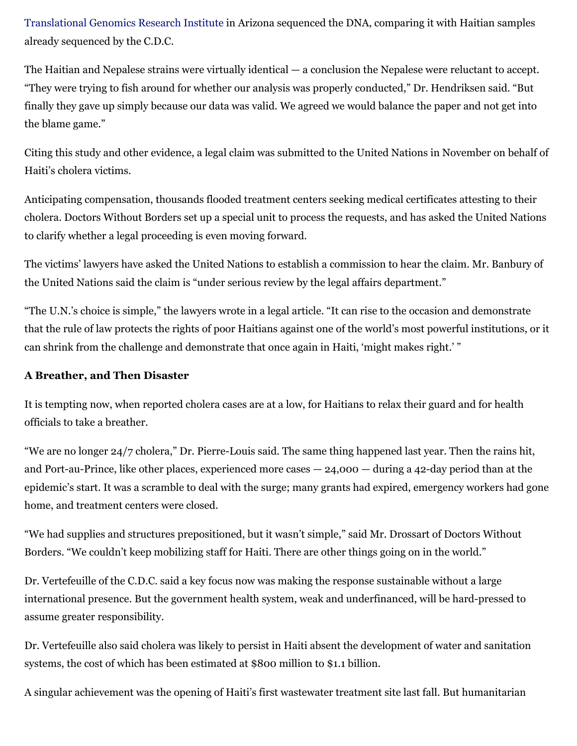Translational Genomics Research Institute in Arizona sequenced the DNA, comparing it with Haitian samples already sequenced by the C.D.C.

The Haitian and Nepalese strains were virtually identical — a conclusion the Nepalese were reluctant to accept. "They were trying to fish around for whether our analysis was properly conducted," Dr. Hendriksen said. "But finally they gave up simply because our data was valid. We agreed we would balance the paper and not get into the blame game."

Citing this study and other evidence, a legal claim was submitted to the United Nations in November on behalf of Haiti's cholera victims.

Anticipating compensation, thousands flooded treatment centers seeking medical certificates attesting to their cholera. Doctors Without Borders set up a special unit to process the requests, and has asked the United Nations to clarify whether a legal proceeding is even moving forward.

The victims' lawyers have asked the United Nations to establish a commission to hear the claim. Mr. Banbury of the United Nations said the claim is "under serious review by the legal affairs department."

"The U.N.'s choice is simple," the lawyers wrote in a legal article. "It can rise to the occasion and demonstrate that the rule of law protects the rights of poor Haitians against one of the world's most powerful institutions, or it can shrink from the challenge and demonstrate that once again in Haiti, 'might makes right.' "

## **A Breather, and Then Disaster**

It is tempting now, when reported cholera cases are at a low, for Haitians to relax their guard and for health officials to take a breather.

"We are no longer 24/7 cholera," Dr. Pierre-Louis said. The same thing happened last year. Then the rains hit, and Port-au-Prince, like other places, experienced more cases — 24,000 — during a 42-day period than at the epidemic's start. It was a scramble to deal with the surge; many grants had expired, emergency workers had gone home, and treatment centers were closed.

"We had supplies and structures prepositioned, but it wasn't simple," said Mr. Drossart of Doctors Without Borders. "We couldn't keep mobilizing staff for Haiti. There are other things going on in the world."

Dr. Vertefeuille of the C.D.C. said a key focus now was making the response sustainable without a large international presence. But the government health system, weak and underfinanced, will be hard-pressed to assume greater responsibility.

Dr. Vertefeuille also said cholera was likely to persist in Haiti absent the development of water and sanitation systems, the cost of which has been estimated at \$800 million to \$1.1 billion.

A singular achievement was the opening of Haiti's first wastewater treatment site last fall. But humanitarian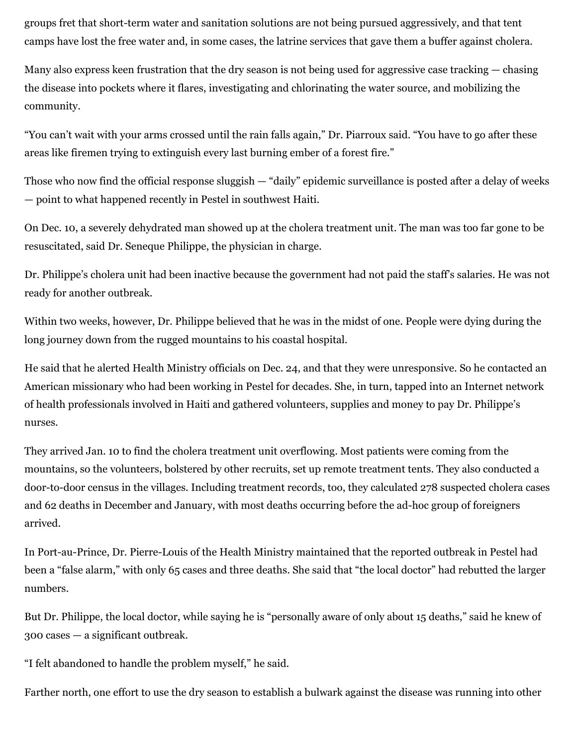groups fret that short-term water and sanitation solutions are not being pursued aggressively, and that tent camps have lost the free water and, in some cases, the latrine services that gave them a buffer against cholera.

Many also express keen frustration that the dry season is not being used for aggressive case tracking — chasing the disease into pockets where it flares, investigating and chlorinating the water source, and mobilizing the community.

"You can't wait with your arms crossed until the rain falls again," Dr. Piarroux said. "You have to go after these areas like firemen trying to extinguish every last burning ember of a forest fire."

Those who now find the official response sluggish — "daily" epidemic surveillance is posted after a delay of weeks — point to what happened recently in Pestel in southwest Haiti.

On Dec. 10, a severely dehydrated man showed up at the cholera treatment unit. The man was too far gone to be resuscitated, said Dr. Seneque Philippe, the physician in charge.

Dr. Philippe's cholera unit had been inactive because the government had not paid the staff's salaries. He was not ready for another outbreak.

Within two weeks, however, Dr. Philippe believed that he was in the midst of one. People were dying during the long journey down from the rugged mountains to his coastal hospital.

He said that he alerted Health Ministry officials on Dec. 24, and that they were unresponsive. So he contacted an American missionary who had been working in Pestel for decades. She, in turn, tapped into an Internet network of health professionals involved in Haiti and gathered volunteers, supplies and money to pay Dr. Philippe's nurses.

They arrived Jan. 10 to find the cholera treatment unit overflowing. Most patients were coming from the mountains, so the volunteers, bolstered by other recruits, set up remote treatment tents. They also conducted a door-to-door census in the villages. Including treatment records, too, they calculated 278 suspected cholera cases and 62 deaths in December and January, with most deaths occurring before the ad-hoc group of foreigners arrived.

In Port-au-Prince, Dr. Pierre-Louis of the Health Ministry maintained that the reported outbreak in Pestel had been a "false alarm," with only 65 cases and three deaths. She said that "the local doctor" had rebutted the larger numbers.

But Dr. Philippe, the local doctor, while saying he is "personally aware of only about 15 deaths," said he knew of 300 cases — a significant outbreak.

"I felt abandoned to handle the problem myself," he said.

Farther north, one effort to use the dry season to establish a bulwark against the disease was running into other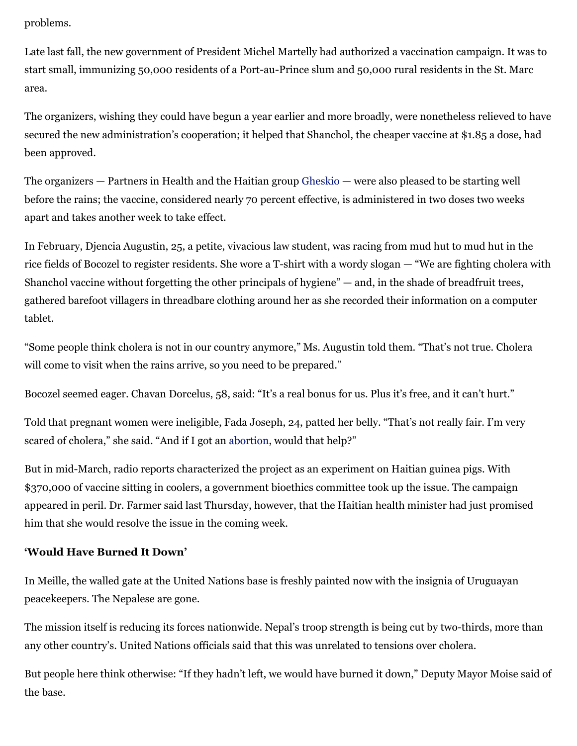problems.

Late last fall, the new government of President Michel Martelly had authorized a vaccination campaign. It was to start small, immunizing 50,000 residents of a Port-au-Prince slum and 50,000 rural residents in the St. Marc area.

The organizers, wishing they could have begun a year earlier and more broadly, were nonetheless relieved to have secured the new administration's cooperation; it helped that Shanchol, the cheaper vaccine at \$1.85 a dose, had been approved.

The organizers — Partners in Health and the Haitian group Gheskio — were also pleased to be starting well before the rains; the vaccine, considered nearly 70 percent effective, is administered in two doses two weeks apart and takes another week to take effect.

In February, Djencia Augustin, 25, a petite, vivacious law student, was racing from mud hut to mud hut in the rice fields of Bocozel to register residents. She wore a T-shirt with a wordy slogan — "We are fighting cholera with Shanchol vaccine without forgetting the other principals of hygiene" — and, in the shade of breadfruit trees, gathered barefoot villagers in threadbare clothing around her as she recorded their information on a computer tablet.

"Some people think cholera is not in our country anymore," Ms. Augustin told them. "That's not true. Cholera will come to visit when the rains arrive, so you need to be prepared."

Bocozel seemed eager. Chavan Dorcelus, 58, said: "It's a real bonus for us. Plus it's free, and it can't hurt."

Told that pregnant women were ineligible, Fada Joseph, 24, patted her belly. "That's not really fair. I'm very scared of cholera," she said. "And if I got an abortion, would that help?"

But in mid-March, radio reports characterized the project as an experiment on Haitian guinea pigs. With \$370,000 of vaccine sitting in coolers, a government bioethics committee took up the issue. The campaign appeared in peril. Dr. Farmer said last Thursday, however, that the Haitian health minister had just promised him that she would resolve the issue in the coming week.

#### **'Would Have Burned It Down'**

In Meille, the walled gate at the United Nations base is freshly painted now with the insignia of Uruguayan peacekeepers. The Nepalese are gone.

The mission itself is reducing its forces nationwide. Nepal's troop strength is being cut by two-thirds, more than any other country's. United Nations officials said that this was unrelated to tensions over cholera.

But people here think otherwise: "If they hadn't left, we would have burned it down," Deputy Mayor Moise said of the base.